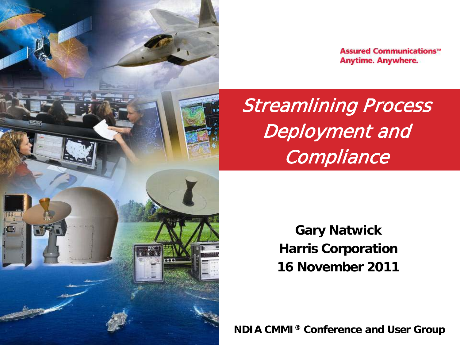

**Assured Communications**<sup>\*\*</sup> **Anytime. Anywhere.** 

Streamlining Process Deployment and Compliance

> **Gary Natwick Harris Corporation 16 November 2011**

**NDIA CMMI® Conference and User Group**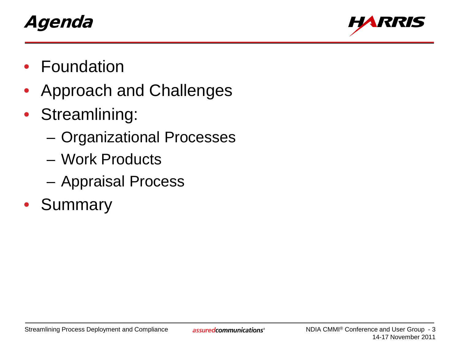# Agenda



- **Foundation**
- Approach and Challenges
- Streamlining:
	- Organizational Processes
	- Work Products
	- Appraisal Process
- **Summary**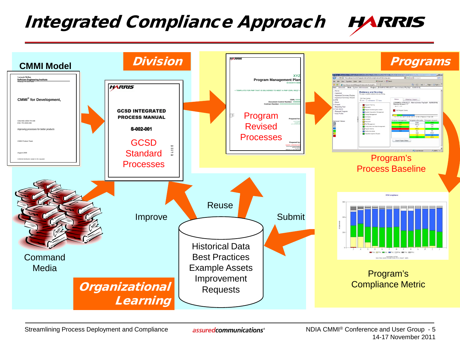### Integrated Compliance Approach



Streamlining Process Deployment and Compliance

assured communications<sup>®</sup>

NDIA CMMI® Conference and User Group - 5 14-17 November 2011

**HARRIS**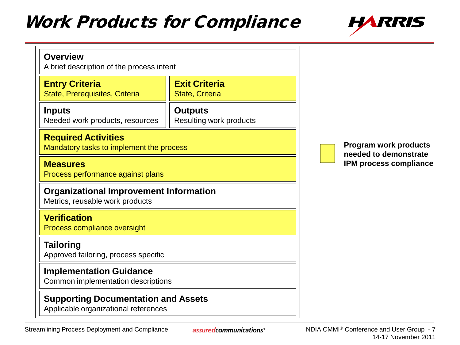# **Work Products for Compliance**



| <b>Entry Criteria</b><br>State, Prerequisites, Criteria                          | <b>Exit Criteria</b><br><b>State, Criteria</b> |  |                   |
|----------------------------------------------------------------------------------|------------------------------------------------|--|-------------------|
| <b>Inputs</b><br>Needed work products, resources                                 | <b>Outputs</b><br>Resulting work products      |  |                   |
| <b>Required Activities</b><br>Mandatory tasks to implement the process           |                                                |  | Prograr<br>needed |
| <b>Measures</b><br>Process performance against plans                             |                                                |  | <b>IPM</b> pro    |
| <b>Organizational Improvement Information</b><br>Metrics, reusable work products |                                                |  |                   |
| <b>Verification</b><br>Process compliance oversight                              |                                                |  |                   |
| <b>Tailoring</b><br>Approved tailoring, process specific                         |                                                |  |                   |
| <b>Implementation Guidance</b><br>Common implementation descriptions             |                                                |  |                   |
|                                                                                  |                                                |  |                   |

**Program work products**  to demonstrate **I**cess compliance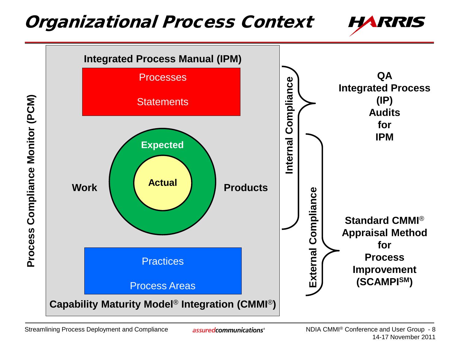#### Organizational Process Context



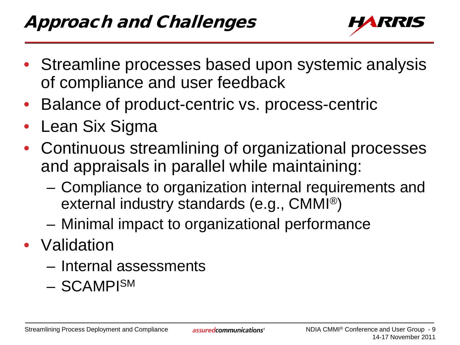

- Streamline processes based upon systemic analysis of compliance and user feedback
- Balance of product-centric vs. process-centric
- Lean Six Sigma
- Continuous streamlining of organizational processes and appraisals in parallel while maintaining:
	- Compliance to organization internal requirements and external industry standards (e.g., CMMI®)
	- Minimal impact to organizational performance
- Validation
	- Internal assessments
	- SCAMPISM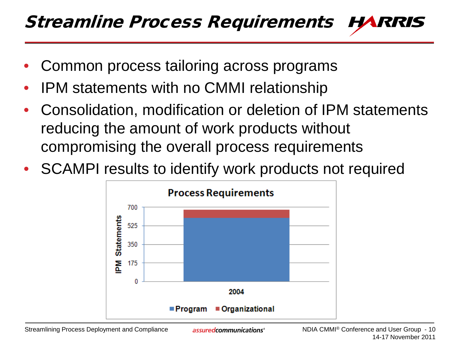- Common process tailoring across programs
- IPM statements with no CMMI relationship
- Consolidation, modification or deletion of IPM statements reducing the amount of work products without compromising the overall process requirements
- SCAMPI results to identify work products not required

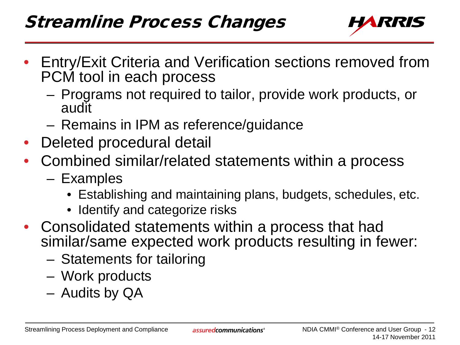

- Entry/Exit Criteria and Verification sections removed from PCM tool in each process
	- Programs not required to tailor, provide work products, or audit
	- Remains in IPM as reference/guidance
- Deleted procedural detail
- Combined similar/related statements within a process
	- Examples
		- Establishing and maintaining plans, budgets, schedules, etc.
		- Identify and categorize risks
- Consolidated statements within a process that had similar/same expected work products resulting in fewer:
	- Statements for tailoring
	- Work products
	- Audits by QA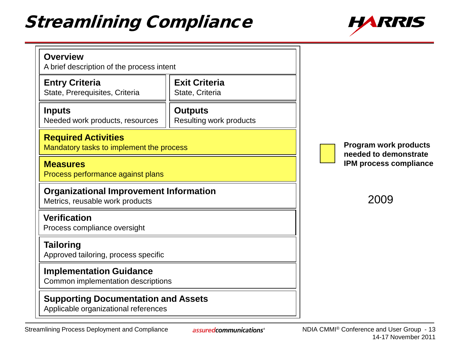# Streamlining Compliance



| <b>Overview</b><br>A brief description of the process intent                       |                                           |                                                |
|------------------------------------------------------------------------------------|-------------------------------------------|------------------------------------------------|
| <b>Entry Criteria</b><br>State, Prerequisites, Criteria                            | <b>Exit Criteria</b><br>State, Criteria   |                                                |
| <b>Inputs</b><br>Needed work products, resources                                   | <b>Outputs</b><br>Resulting work products |                                                |
| <b>Required Activities</b><br>Mandatory tasks to implement the process             |                                           | Program work products<br>needed to demonstrate |
| <b>Measures</b><br>Process performance against plans                               |                                           | <b>IPM process compliance</b>                  |
| <b>Organizational Improvement Information</b><br>Metrics, reusable work products   |                                           | 2009                                           |
| <b>Verification</b><br>Process compliance oversight                                |                                           |                                                |
| <b>Tailoring</b><br>Approved tailoring, process specific                           |                                           |                                                |
| <b>Implementation Guidance</b><br>Common implementation descriptions               |                                           |                                                |
| <b>Supporting Documentation and Assets</b><br>Applicable organizational references |                                           |                                                |
|                                                                                    |                                           |                                                |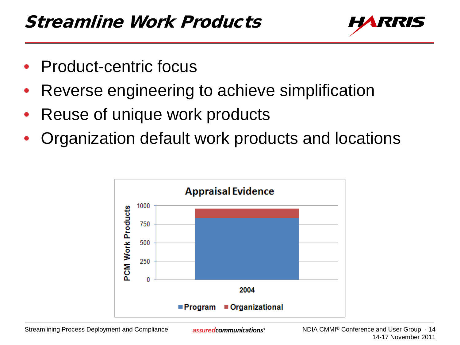

- Product-centric focus
- Reverse engineering to achieve simplification
- Reuse of unique work products
- Organization default work products and locations

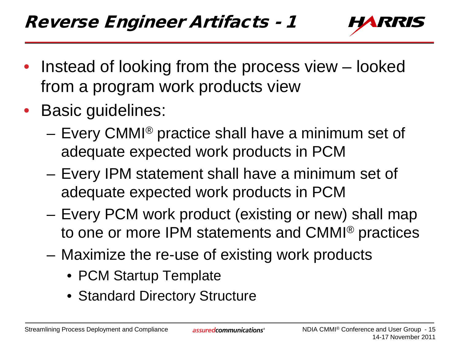

- Instead of looking from the process view looked from a program work products view
- Basic guidelines:
	- Every CMMI® practice shall have a minimum set of adequate expected work products in PCM
	- Every IPM statement shall have a minimum set of adequate expected work products in PCM
	- Every PCM work product (existing or new) shall map to one or more IPM statements and CMMI® practices
	- Maximize the re-use of existing work products
		- PCM Startup Template
		- Standard Directory Structure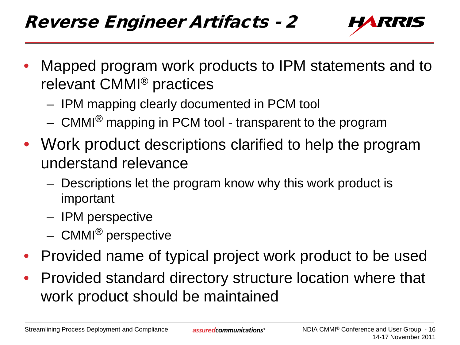

- Mapped program work products to IPM statements and to relevant CMMI® practices
	- IPM mapping clearly documented in PCM tool
	- CMMI® mapping in PCM tool transparent to the program
- Work product descriptions clarified to help the program understand relevance
	- Descriptions let the program know why this work product is important
	- IPM perspective
	- CMMI® perspective
- Provided name of typical project work product to be used
- Provided standard directory structure location where that work product should be maintained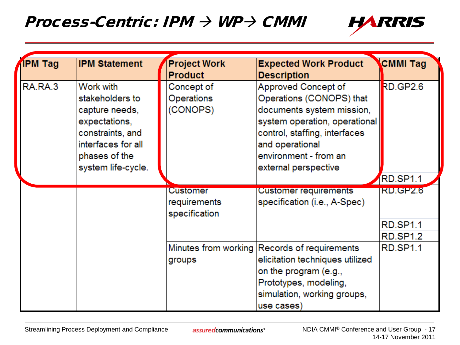#### Process-Centric: IPM  $\rightarrow$  WP $\rightarrow$  CMMI



| IPM Tag | <b>IPM Statement</b>                                                                                                                             | <b>Project Work</b><br><b>Product</b>            | <b>Expected Work Product</b><br><b>Description</b>                                                                                                                                                                 | <b>CMMI Tag</b>                                |
|---------|--------------------------------------------------------------------------------------------------------------------------------------------------|--------------------------------------------------|--------------------------------------------------------------------------------------------------------------------------------------------------------------------------------------------------------------------|------------------------------------------------|
| RA.RA.3 | Work with<br>stakeholders to<br>capture needs,<br>expectations,<br>constraints, and<br>interfaces for all<br>phases of the<br>system life-cycle. | Concept of<br>Operations<br>(CONOPS)             | Approved Concept of<br>Operations (CONOPS) that<br>documents system mission,<br>system operation, operational<br>control, staffing, interfaces<br>and operational<br>environment - from an<br>external perspective | <b>RD.GP2.6</b>                                |
|         |                                                                                                                                                  |                                                  |                                                                                                                                                                                                                    | RD.SP1.1                                       |
|         |                                                                                                                                                  | <b>Customer</b><br>requirements<br>specification | <b>Customer requirements</b><br>specification (i.e., A-Spec)                                                                                                                                                       | <b>RD.GP2.6</b><br><b>RD.SP1.1</b><br>RD.SP1.2 |
|         |                                                                                                                                                  | groups                                           | Minutes from working Records of requirements<br>elicitation techniques utilized<br>on the program (e.g.,<br>Prototypes, modeling,<br>simulation, working groups,<br>use cases)                                     | <b>RD.SP1.1</b>                                |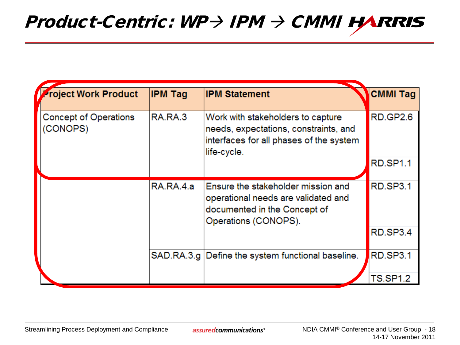| Project Work Product                     | <b>IPM Tag</b> | <b>IPM Statement</b>                                                                                                                 | <b>CMMI Tag</b> |  |  |
|------------------------------------------|----------------|--------------------------------------------------------------------------------------------------------------------------------------|-----------------|--|--|
| <b>Concept of Operations</b><br>(CONOPS) | RA.RA.3        | Work with stakeholders to capture<br>needs, expectations, constraints, and<br>interfaces for all phases of the system<br>life-cycle. | RD.GP2.6        |  |  |
|                                          |                |                                                                                                                                      | <b>RD.SP1.1</b> |  |  |
|                                          | RA.RA.4.a      | Ensure the stakeholder mission and<br>operational needs are validated and<br>documented in the Concept of<br>Operations (CONOPS).    | RD.SP3.1        |  |  |
|                                          |                |                                                                                                                                      | RD.SP3.4        |  |  |
|                                          |                | SAD.RA.3.g   Define the system functional baseline.                                                                                  | <b>RD.SP3.1</b> |  |  |
|                                          |                |                                                                                                                                      | <b>TS.SP1.2</b> |  |  |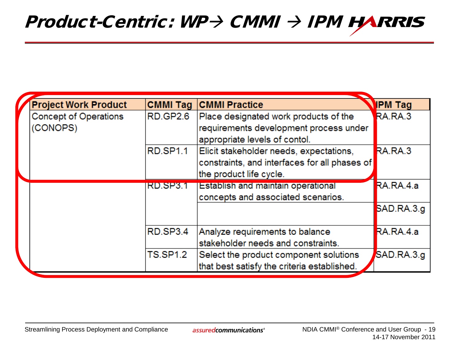### $Product\text{-}Centric: WP\rightarrow CMMI \rightarrow IPM H\text{-}RRIS$

| <b>Project Work Product</b>  | <b>CMMI Tag</b> | <b>CMMI Practice</b>                          | <b>IPM Tag</b> |
|------------------------------|-----------------|-----------------------------------------------|----------------|
| <b>Concept of Operations</b> | <b>RD.GP2.6</b> | Place designated work products of the         | RA.RA.3        |
| (CONOPS)                     |                 | requirements development process under        |                |
|                              |                 | appropriate levels of contol.                 |                |
|                              | <b>RD.SP1.1</b> | Elicit stakeholder needs, expectations,       | RA.RA.3        |
|                              |                 | constraints, and interfaces for all phases of |                |
|                              |                 | the product life cycle.                       |                |
|                              | RD.SP3.1        | <b>Establish and maintain operational</b>     | RA.RA.4.a      |
|                              |                 | concepts and associated scenarios.            |                |
|                              |                 |                                               | SAD.RA.3.g     |
|                              |                 |                                               |                |
|                              | RD.SP3.4        | Analyze requirements to balance               | RA.RA.4.a      |
|                              |                 | stakeholder needs and constraints.            |                |
|                              | <b>TS.SP1.2</b> | Select the product component solutions        | SAD.RA.3.g     |
|                              |                 | that best satisfy the criteria established.   |                |
|                              |                 |                                               |                |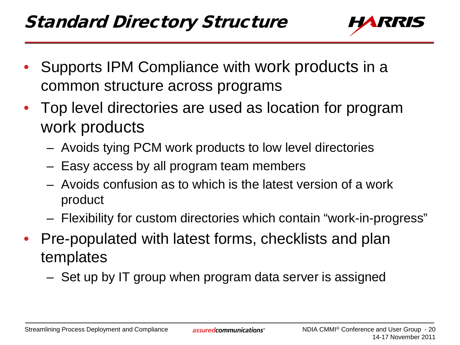

- Supports IPM Compliance with work products in a common structure across programs
- Top level directories are used as location for program work products
	- Avoids tying PCM work products to low level directories
	- Easy access by all program team members
	- Avoids confusion as to which is the latest version of a work product
	- Flexibility for custom directories which contain "work-in-progress"
- Pre-populated with latest forms, checklists and plan templates
	- Set up by IT group when program data server is assigned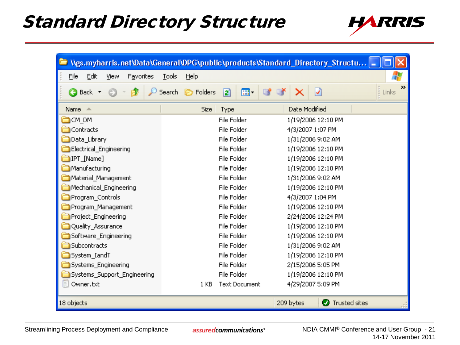### Standard Directory Structure



|                                   |                                                      | Ngs.myharris.net\Data\General\DPG\public\products\Standard_Directory_Structu = |
|-----------------------------------|------------------------------------------------------|--------------------------------------------------------------------------------|
| File<br>Edit<br>View<br>Favorites | Tools<br>Help                                        | 7.                                                                             |
| <b>Back T</b>                     | ⊞ -<br>Search<br><b>P</b> Folders<br>$\vert z \vert$ | $\rightarrow$<br>ჟ<br>$\frac{1}{2}$ Links                                      |
| Name $\triangle$                  | Size<br>Type                                         | Date Modified                                                                  |
| <b>CM_DM</b>                      | File Folder                                          | 1/19/2006 12:10 PM                                                             |
| Contracts                         | File Folder                                          | 4/3/2007 1:07 PM                                                               |
| Data_Library                      | File Folder                                          | 1/31/2006 9:02 AM                                                              |
| Electrical_Engineering            | File Folder                                          | 1/19/2006 12:10 PM                                                             |
| IPT_[Name]                        | File Folder                                          | 1/19/2006 12:10 PM                                                             |
| Manufacturing                     | File Folder                                          | 1/19/2006 12:10 PM                                                             |
| Material_Management               | File Folder                                          | 1/31/2006 9:02 AM                                                              |
| Mechanical_Engineering            | File Folder                                          | 1/19/2006 12:10 PM                                                             |
| Program_Controls                  | File Folder                                          | 4/3/2007 1:04 PM                                                               |
| Program Management                | File Folder                                          | 1/19/2006 12:10 PM                                                             |
| Project_Engineering               | File Folder                                          | 2/24/2006 12:24 PM                                                             |
| Quality_Assurance                 | File Folder                                          | 1/19/2006 12:10 PM                                                             |
| Software_Engineering              | File Folder                                          | 1/19/2006 12:10 PM                                                             |
| Subcontracts                      | File Folder                                          | 1/31/2006 9:02 AM                                                              |
| System_IandT                      | File Folder                                          | 1/19/2006 12:10 PM                                                             |
| Systems_Engineering               | File Folder                                          | 2/15/2006 5:05 PM                                                              |
| Systems_Support_Engineering       | File Folder                                          | 1/19/2006 12:10 PM                                                             |
| Owner.txt<br>E                    | <b>Text Document</b><br>1 <sub>KB</sub>              | 4/29/2007 5:09 PM                                                              |
| 18 objects                        |                                                      | <b>O</b> Trusted sites<br>209 bytes                                            |

assured communications<sup>®</sup>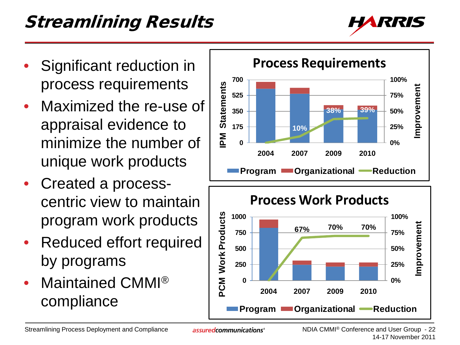# Streamlining Results



- Significant reduction in process requirements
- Maximized the re-use of appraisal evidence to minimize the number of unique work products
- Created a processcentric view to maintain program work products
- Reduced effort required by programs
- Maintained CMMI<sup>®</sup> compliance



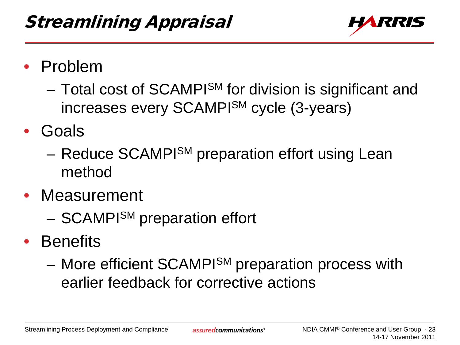

- Problem
	- Total cost of SCAMPI<sup>SM</sup> for division is significant and increases every SCAMPISM cycle (3-years)
- Goals
	- Reduce SCAMPI<sup>SM</sup> preparation effort using Lean method
- Measurement
	- SCAMPISM preparation effort
- Benefits
	- More efficient SCAMPISM preparation process with earlier feedback for corrective actions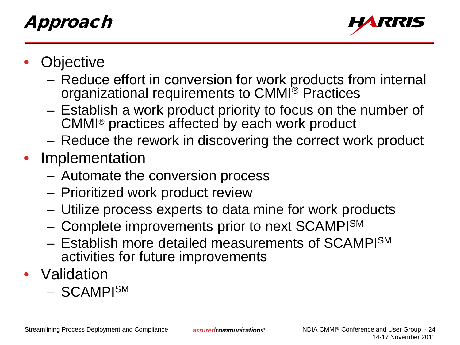# Approach



- **Objective** 
	- Reduce effort in conversion for work products from internal organizational requirements to CMMI® Practices
	- Establish a work product priority to focus on the number of CMMI® practices affected by each work product
	- Reduce the rework in discovering the correct work product
- Implementation
	- Automate the conversion process
	- Prioritized work product review
	- Utilize process experts to data mine for work products
	- Complete improvements prior to next SCAMPISM
	- Establish more detailed measurements of SCAMPISM activities for future improvements
- Validation
	- SCAMPISM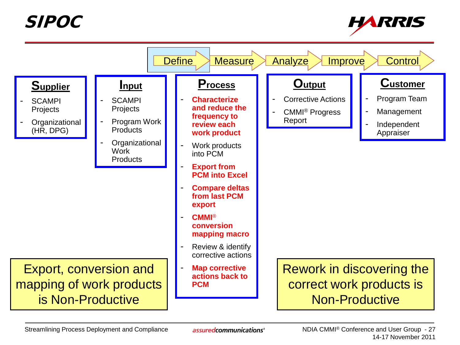SIPOC



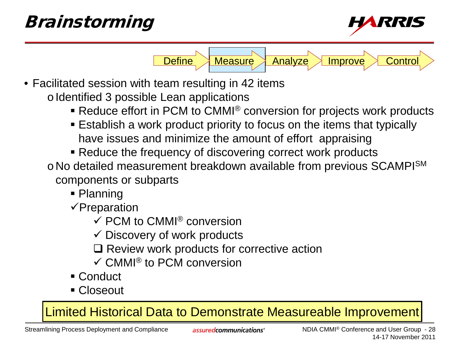# Brainstorming



• Facilitated session with team resulting in 42 items o Identified 3 possible Lean applications

■ Reduce effort in PCM to CMMI<sup>®</sup> conversion for projects work products

Define Measure Analyze Improve Control

- Establish a work product priority to focus on the items that typically have issues and minimize the amount of effort appraising
- Reduce the frequency of discovering correct work products
- o No detailed measurement breakdown available from previous SCAMPI<sup>SM</sup> components or subparts
	- Planning
	- $\checkmark$ Preparation
		- $\checkmark$  PCM to CMMI<sup>®</sup> conversion
		- $\checkmark$  Discovery of work products
		- $\Box$  Review work products for corrective action
		- $\checkmark$  CMMI<sup>®</sup> to PCM conversion
	- Conduct
	- Closeout

Limited Historical Data to Demonstrate Measureable Improvement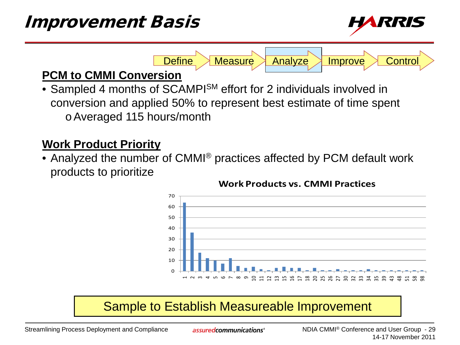

**PCM to CMMI Conversion**

• Sampled 4 months of SCAMPI<sup>SM</sup> effort for 2 individuals involved in conversion and applied 50% to represent best estimate of time spent oAveraged 115 hours/month

#### **Work Product Priority**

• Analyzed the number of CMMI® practices affected by PCM default work products to prioritize



#### **Work Products vs. CMMI Practices**

Define Measure Analyze Improve Control

#### Sample to Establish Measureable Improvement

Streamlining Process Deployment and Compliance

assured communications<sup>®</sup>

NDIA CMMI® Conference and User Group - 29 14-17 November 2011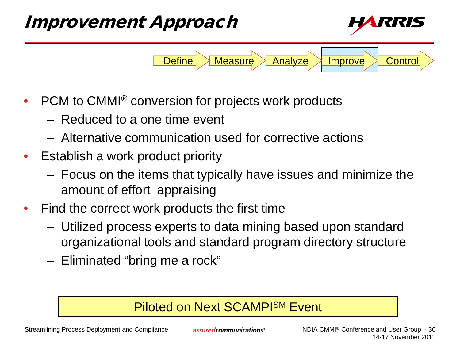

- PCM to CMMI® conversion for projects work products
	- Reduced to a one time event
	- Alternative communication used for corrective actions
- Establish a work product priority
	- Focus on the items that typically have issues and minimize the amount of effort appraising
- Find the correct work products the first time
	- Utilized process experts to data mining based upon standard organizational tools and standard program directory structure
	- Eliminated "bring me a rock"

#### Piloted on Next SCAMPISM Event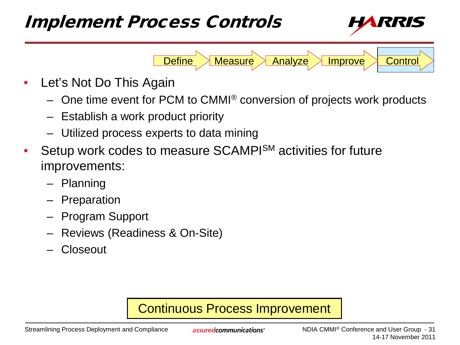### Implement Process Controls



- Let's Not Do This Again
	- One time event for PCM to CMMI® conversion of projects work products

Define Measure Analyze Improve Control

- Establish a work product priority
- Utilized process experts to data mining
- Setup work codes to measure SCAMPISM activities for future improvements:
	- Planning
	- Preparation
	- Program Support
	- Reviews (Readiness & On-Site)
	- Closeout

#### Continuous Process Improvement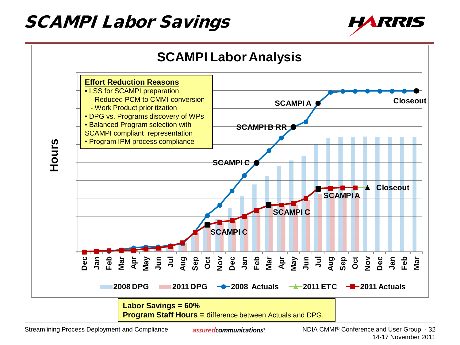## SCAMPI Labor Savings





assuredcommunications<sup>®</sup>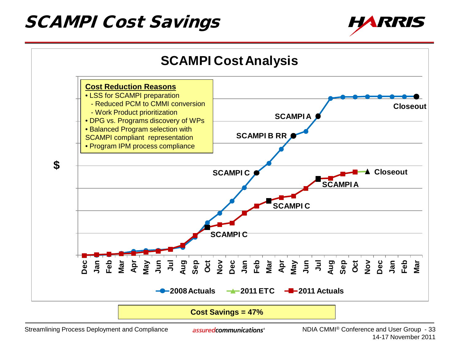### SCAMPI Cost Savings





**Cost Savings = 47%**

Streamlining Process Deployment and Compliance

assuredcommunications<sup>®</sup>

NDIA CMMI® Conference and User Group - 33 14-17 November 2011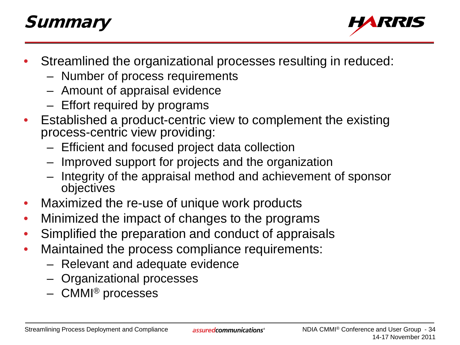# **Summary**



- Streamlined the organizational processes resulting in reduced:
	- Number of process requirements
	- Amount of appraisal evidence
	- Effort required by programs
- Established a product-centric view to complement the existing process-centric view providing:
	- Efficient and focused project data collection
	- Improved support for projects and the organization
	- Integrity of the appraisal method and achievement of sponsor objectives
- Maximized the re-use of unique work products
- Minimized the impact of changes to the programs
- Simplified the preparation and conduct of appraisals
- Maintained the process compliance requirements:
	- Relevant and adequate evidence
	- Organizational processes
	- CMMI® processes